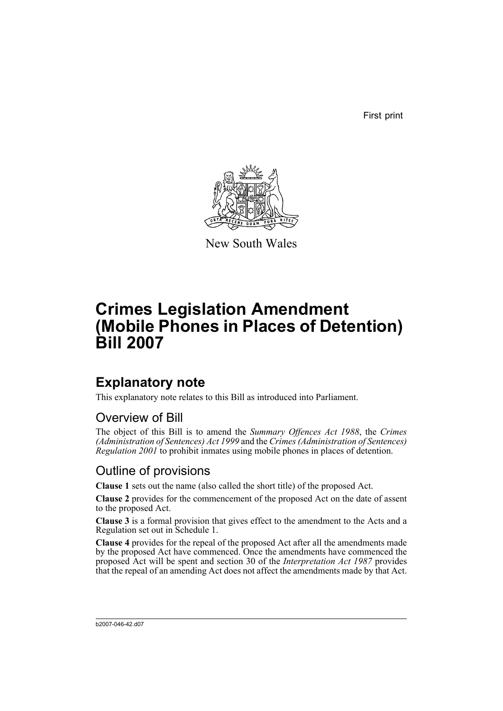First print



New South Wales

# **Crimes Legislation Amendment (Mobile Phones in Places of Detention) Bill 2007**

## **Explanatory note**

This explanatory note relates to this Bill as introduced into Parliament.

## Overview of Bill

The object of this Bill is to amend the *Summary Offences Act 1988*, the *Crimes (Administration of Sentences) Act 1999* and the *Crimes (Administration of Sentences) Regulation 2001* to prohibit inmates using mobile phones in places of detention.

## Outline of provisions

**Clause 1** sets out the name (also called the short title) of the proposed Act.

**Clause 2** provides for the commencement of the proposed Act on the date of assent to the proposed Act.

**Clause 3** is a formal provision that gives effect to the amendment to the Acts and a Regulation set out in Schedule 1.

**Clause 4** provides for the repeal of the proposed Act after all the amendments made by the proposed Act have commenced. Once the amendments have commenced the proposed Act will be spent and section 30 of the *Interpretation Act 1987* provides that the repeal of an amending Act does not affect the amendments made by that Act.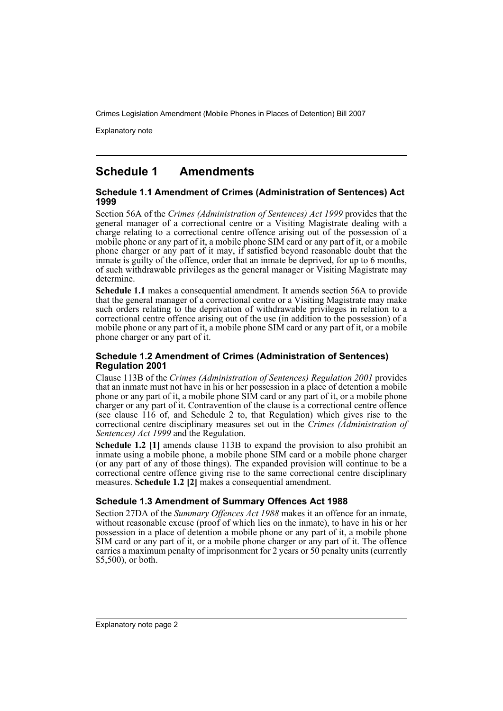Crimes Legislation Amendment (Mobile Phones in Places of Detention) Bill 2007

Explanatory note

### **Schedule 1 Amendments**

#### **Schedule 1.1 Amendment of Crimes (Administration of Sentences) Act 1999**

Section 56A of the *Crimes (Administration of Sentences) Act 1999* provides that the general manager of a correctional centre or a Visiting Magistrate dealing with a charge relating to a correctional centre offence arising out of the possession of a mobile phone or any part of it, a mobile phone SIM card or any part of it, or a mobile phone charger or any part of it may, if satisfied beyond reasonable doubt that the inmate is guilty of the offence, order that an inmate be deprived, for up to 6 months, of such withdrawable privileges as the general manager or Visiting Magistrate may determine.

**Schedule 1.1** makes a consequential amendment. It amends section 56A to provide that the general manager of a correctional centre or a Visiting Magistrate may make such orders relating to the deprivation of withdrawable privileges in relation to a correctional centre offence arising out of the use (in addition to the possession) of a mobile phone or any part of it, a mobile phone SIM card or any part of it, or a mobile phone charger or any part of it.

#### **Schedule 1.2 Amendment of Crimes (Administration of Sentences) Regulation 2001**

Clause 113B of the *Crimes (Administration of Sentences) Regulation 2001* provides that an inmate must not have in his or her possession in a place of detention a mobile phone or any part of it, a mobile phone SIM card or any part of it, or a mobile phone charger or any part of it. Contravention of the clause is a correctional centre offence (see clause 116 of, and Schedule 2 to, that Regulation) which gives rise to the correctional centre disciplinary measures set out in the *Crimes (Administration of Sentences) Act 1999* and the Regulation.

**Schedule 1.2** [1] amends clause 113B to expand the provision to also prohibit an inmate using a mobile phone, a mobile phone SIM card or a mobile phone charger (or any part of any of those things). The expanded provision will continue to be a correctional centre offence giving rise to the same correctional centre disciplinary measures. **Schedule 1.2 [2]** makes a consequential amendment.

#### **Schedule 1.3 Amendment of Summary Offences Act 1988**

Section 27DA of the *Summary Offences Act 1988* makes it an offence for an inmate, without reasonable excuse (proof of which lies on the inmate), to have in his or her possession in a place of detention a mobile phone or any part of it, a mobile phone SIM card or any part of it, or a mobile phone charger or any part of it. The offence carries a maximum penalty of imprisonment for 2 years or 50 penalty units (currently \$5,500), or both.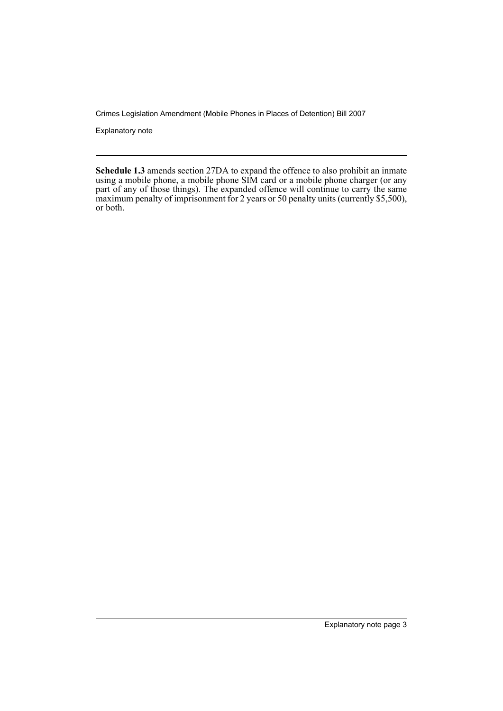Crimes Legislation Amendment (Mobile Phones in Places of Detention) Bill 2007

Explanatory note

**Schedule 1.3** amends section 27DA to expand the offence to also prohibit an inmate using a mobile phone, a mobile phone SIM card or a mobile phone charger (or any part of any of those things). The expanded offence will continue to carry the same maximum penalty of imprisonment for 2 years or 50 penalty units (currently \$5,500), or both.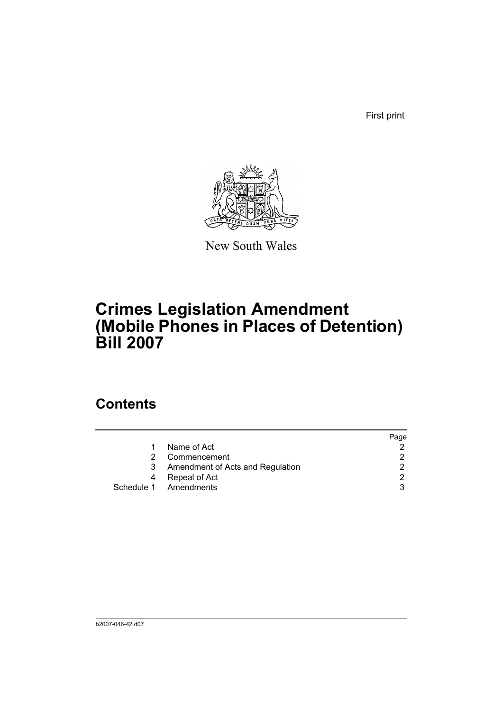First print



New South Wales

# **Crimes Legislation Amendment (Mobile Phones in Places of Detention) Bill 2007**

## **Contents**

|    |                                  | Page          |
|----|----------------------------------|---------------|
| 1. | Name of Act                      |               |
| 2. | Commencement                     | 2.            |
| -3 | Amendment of Acts and Regulation | 2             |
| 4  | Repeal of Act                    | $\mathcal{D}$ |
|    | Schedule 1 Amendments            | 3             |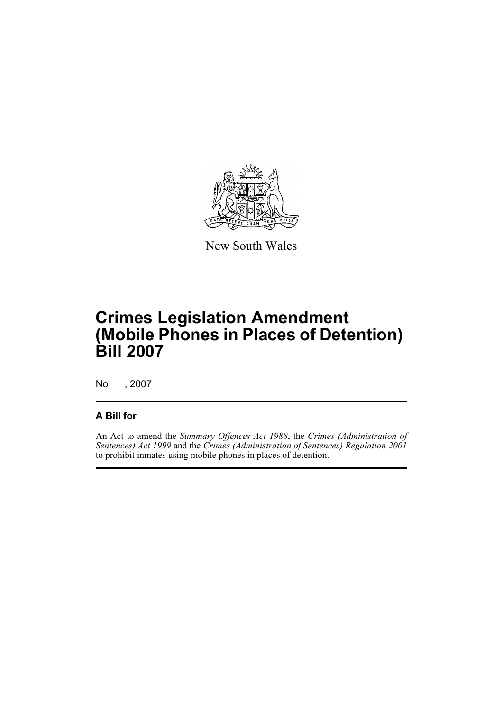

New South Wales

# **Crimes Legislation Amendment (Mobile Phones in Places of Detention) Bill 2007**

No , 2007

### **A Bill for**

An Act to amend the *Summary Offences Act 1988*, the *Crimes (Administration of Sentences) Act 1999* and the *Crimes (Administration of Sentences) Regulation 2001* to prohibit inmates using mobile phones in places of detention.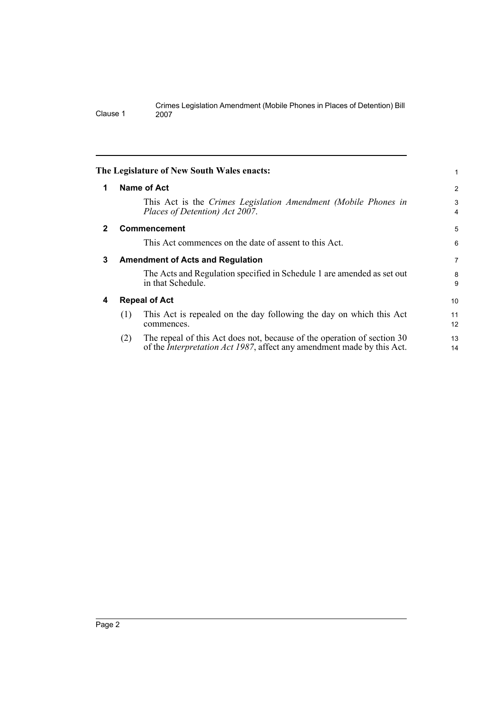<span id="page-7-3"></span><span id="page-7-2"></span><span id="page-7-1"></span><span id="page-7-0"></span>

|   | The Legislature of New South Wales enacts:                                                                                                                       | 1              |
|---|------------------------------------------------------------------------------------------------------------------------------------------------------------------|----------------|
| 1 | Name of Act                                                                                                                                                      | 2              |
|   | This Act is the Crimes Legislation Amendment (Mobile Phones in<br>Places of Detention) Act 2007.                                                                 | 3<br>4         |
| 2 | Commencement                                                                                                                                                     | 5              |
|   | This Act commences on the date of assent to this Act.                                                                                                            | 6              |
| 3 | <b>Amendment of Acts and Regulation</b>                                                                                                                          | $\overline{7}$ |
|   | The Acts and Regulation specified in Schedule 1 are amended as set out<br>in that Schedule.                                                                      | 8<br>9         |
| 4 | <b>Repeal of Act</b>                                                                                                                                             | 10             |
|   | This Act is repealed on the day following the day on which this Act<br>(1)<br>commences.                                                                         | 11<br>12       |
|   | The repeal of this Act does not, because of the operation of section 30<br>(2)<br>of the <i>Interpretation Act 1987</i> , affect any amendment made by this Act. | 13<br>14       |